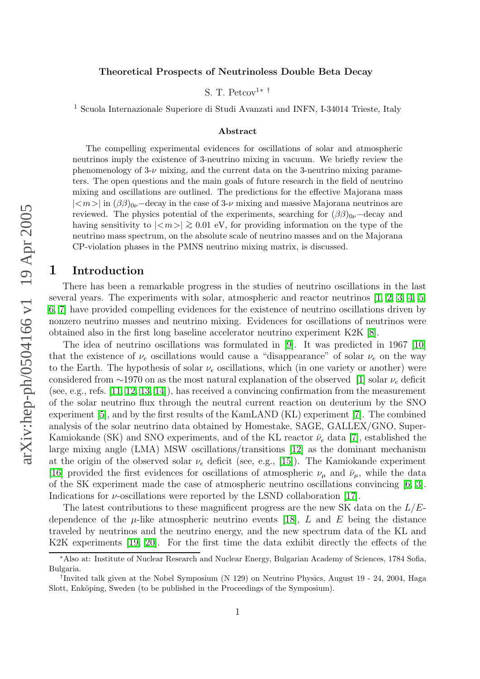#### Theoretical Prospects of Neutrinoless Double Beta Decay

S. T. Petcov<sup>1\*†</sup>

<sup>1</sup> Scuola Internazionale Superiore di Studi Avanzati and INFN, I-34014 Trieste, Italy

#### Abstract

The compelling experimental evidences for oscillations of solar and atmospheric neutrinos imply the existence of 3-neutrino mixing in vacuum. We briefly review the phenomenology of  $3-\nu$  mixing, and the current data on the 3-neutrino mixing parameters. The open questions and the main goals of future research in the field of neutrino mixing and oscillations are outlined. The predictions for the effective Majorana mass  $|\langle m \rangle|$  in  $(\beta \beta)_{0\nu}$  –decay in the case of 3-ν mixing and massive Majorana neutrinos are reviewed. The physics potential of the experiments, searching for  $(\beta\beta)_{0\nu}$  -decay and having sensitivity to  $|\langle m \rangle| \gtrsim 0.01$  eV, for providing information on the type of the neutrino mass spectrum, on the absolute scale of neutrino masses and on the Majorana CP-violation phases in the PMNS neutrino mixing matrix, is discussed.

## 1 Introduction

There has been a remarkable progress in the studies of neutrino oscillations in the last several years. The experiments with solar, atmospheric and reactor neutrinos [\[1,](#page-11-0) [2,](#page-11-1) [3,](#page-11-2) [4,](#page-11-3) [5,](#page-11-4) [6,](#page-11-5) [7\]](#page-11-6) have provided compelling evidences for the existence of neutrino oscillations driven by nonzero neutrino masses and neutrino mixing. Evidences for oscillations of neutrinos were obtained also in the first long baseline accelerator neutrino experiment K2K [\[8\]](#page-11-7).

The idea of neutrino oscillations was formulated in [\[9\]](#page-11-8). It was predicted in 1967 [\[10\]](#page-11-9) that the existence of  $\nu_e$  oscillations would cause a "disappearance" of solar  $\nu_e$  on the way to the Earth. The hypothesis of solar  $\nu_e$  oscillations, which (in one variety or another) were considered from  $\sim$ 1970 on as the most natural explanation of the observed [\[1\]](#page-11-0) solar  $\nu_e$  deficit (see, e.g., refs. [\[11,](#page-11-10) [12,](#page-12-0) [13,](#page-12-1) [14\]](#page-12-2)), has received a convincing confirmation from the measurement of the solar neutrino flux through the neutral current reaction on deuterium by the SNO experiment [\[5\]](#page-11-4), and by the first results of the KamLAND (KL) experiment [\[7\]](#page-11-6). The combined analysis of the solar neutrino data obtained by Homestake, SAGE, GALLEX/GNO, Super-Kamiokande (SK) and SNO experiments, and of the KL reactor  $\bar{\nu}_e$  data [\[7\]](#page-11-6), established the large mixing angle (LMA) MSW oscillations/transitions [\[12\]](#page-12-0) as the dominant mechanism at the origin of the observed solar  $\nu_e$  deficit (see, e.g., [\[15\]](#page-12-3)). The Kamiokande experiment [\[16\]](#page-12-4) provided the first evidences for oscillations of atmospheric  $\nu_{\mu}$  and  $\bar{\nu}_{\mu}$ , while the data of the SK experiment made the case of atmospheric neutrino oscillations convincing [\[6,](#page-11-5) [3\]](#page-11-2). Indications for  $\nu$ -oscillations were reported by the LSND collaboration [\[17\]](#page-12-5).

The latest contributions to these magnificent progress are the new SK data on the  $L/E$ dependence of the  $\mu$ -like atmospheric neutrino events [\[18\]](#page-12-6), L and E being the distance traveled by neutrinos and the neutrino energy, and the new spectrum data of the KL and K2K experiments [\[19,](#page-12-7) [20\]](#page-12-8). For the first time the data exhibit directly the effects of the

<sup>∗</sup>Also at: Institute of Nuclear Research and Nuclear Energy, Bulgarian Academy of Sciences, 1784 Sofia, Bulgaria.

<sup>†</sup> Invited talk given at the Nobel Symposium (N 129) on Neutrino Physics, August 19 - 24, 2004, Haga Slott, Enköping, Sweden (to be published in the Proceedings of the Symposium).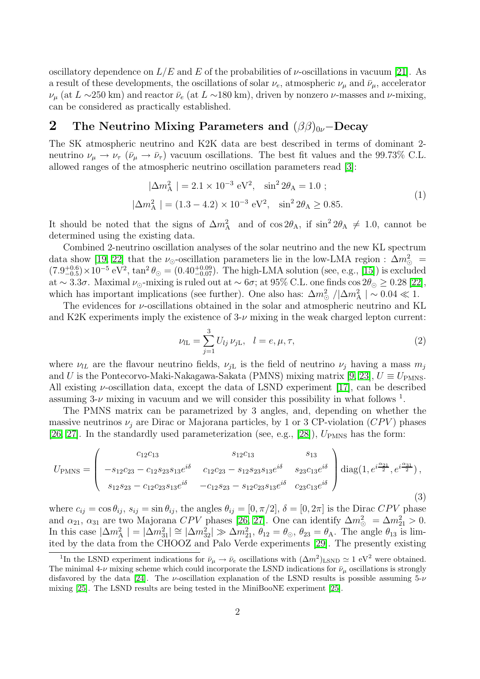oscillatory dependence on  $L/E$  and E of the probabilities of  $\nu$ -oscillations in vacuum [\[21\]](#page-12-9). As a result of these developments, the oscillations of solar  $\nu_e$ , atmospheric  $\nu_\mu$  and  $\bar{\nu}_\mu$ , accelerator  $\nu_{\mu}$  (at  $L \sim 250$  km) and reactor  $\bar{\nu}_e$  (at  $L \sim 180$  km), driven by nonzero  $\nu$ -masses and  $\nu$ -mixing, can be considered as practically established.

## 2 The Neutrino Mixing Parameters and  $(\beta\beta)_{0\nu}$ –Decay

<span id="page-1-1"></span>The SK atmospheric neutrino and K2K data are best described in terms of dominant 2 neutrino  $\nu_{\mu} \rightarrow \nu_{\tau}$  ( $\bar{\nu}_{\mu} \rightarrow \bar{\nu}_{\tau}$ ) vacuum oscillations. The best fit values and the 99.73% C.L. allowed ranges of the atmospheric neutrino oscillation parameters read [\[3\]](#page-11-2):

$$
|\Delta m_{\rm A}^2| = 2.1 \times 10^{-3} \text{ eV}^2, \quad \sin^2 2\theta_{\rm A} = 1.0 \ ;
$$
  

$$
|\Delta m_{\rm A}^2| = (1.3 - 4.2) \times 10^{-3} \text{ eV}^2, \quad \sin^2 2\theta_{\rm A} \ge 0.85.
$$
 (1)

It should be noted that the signs of  $\Delta m_A^2$  and of  $\cos 2\theta_A$ , if  $\sin^2 2\theta_A \neq 1.0$ , cannot be determined using the existing data.

Combined 2-neutrino oscillation analyses of the solar neutrino and the new KL spectrum data show [\[19,](#page-12-7) [22\]](#page-12-10) that the  $\nu_{\odot}$ -oscillation parameters lie in the low-LMA region :  $\Delta m_{\odot}^2$  =  $(7.9^{+0.6}_{-0.5}) \times 10^{-5} \text{ eV}^2$ ,  $\tan^2 \theta_{\odot} = (0.40^{+0.09}_{-0.07})$ . The high-LMA solution (see, e.g., [\[15\]](#page-12-3)) is excluded at ~ 3.3 $\sigma$ . Maximal  $\nu_{\odot}$ -mixing is ruled out at ~ 6 $\sigma$ ; at 95% C.L. one finds cos  $2\theta_{\odot} \geq 0.28$  [\[22\]](#page-12-10), which has important implications (see further). One also has:  $\Delta m_{\odot}^2 / |\Delta m_{\rm A}^2| \sim 0.04 \ll 1$ .

The evidences for  $\nu$ -oscillations obtained in the solar and atmospheric neutrino and KL and K2K experiments imply the existence of  $3-\nu$  mixing in the weak charged lepton current:

<span id="page-1-0"></span>
$$
\nu_{l\mathcal{L}} = \sum_{j=1}^{3} U_{lj} \, \nu_{j\mathcal{L}}, \quad l = e, \mu, \tau,
$$
\n(2)

where  $\nu_{lL}$  are the flavour neutrino fields,  $\nu_{iL}$  is the field of neutrino  $\nu_i$  having a mass  $m_i$ and U is the Pontecorvo-Maki-Nakagawa-Sakata (PMNS) mixing matrix [\[9,](#page-11-8) [23\]](#page-12-11),  $U \equiv U_{\rm PMNS}$ . All existing  $\nu$ -oscillation data, except the data of LSND experiment [\[17\]](#page-12-5), can be described assuming  $3-\nu$  mixing in vacuum and we will consider this possibility in what follows <sup>1</sup>.

The PMNS matrix can be parametrized by 3 angles, and, depending on whether the massive neutrinos  $\nu_i$  are Dirac or Majorana particles, by 1 or 3 CP-violation (CPV) phases [\[26,](#page-12-12) [27\]](#page-12-13). In the standardly used parameterization (see, e.g., [\[28\]](#page-12-14)),  $U_{\text{PMNS}}$  has the form:

$$
U_{\rm PMNS} = \begin{pmatrix} c_{12}c_{13} & s_{12}c_{13} & s_{13} \\ -s_{12}c_{23} - c_{12}s_{23}s_{13}e^{i\delta} & c_{12}c_{23} - s_{12}s_{23}s_{13}e^{i\delta} & s_{23}c_{13}e^{i\delta} \\ s_{12}s_{23} - c_{12}c_{23}s_{13}e^{i\delta} & -c_{12}s_{23} - s_{12}c_{23}s_{13}e^{i\delta} & c_{23}c_{13}e^{i\delta} \end{pmatrix} \text{diag}(1, e^{i\frac{\alpha_{21}}{2}}, e^{i\frac{\alpha_{31}}{2}}),
$$
\n
$$
(3)
$$

where  $c_{ij} = \cos \theta_{ij}$ ,  $s_{ij} = \sin \theta_{ij}$ , the angles  $\theta_{ij} = [0, \pi/2], \delta = [0, 2\pi]$  is the Dirac CPV phase and  $\alpha_{21}, \alpha_{31}$  are two Majorana  $CPV$  phases [\[26,](#page-12-12) [27\]](#page-12-13). One can identify  $\Delta m_{\odot}^2 = \Delta m_{21}^2 > 0$ . In this case  $|\Delta m_{\rm A}^2| = |\Delta m_{31}^2| \cong |\Delta m_{32}^2| \gg \Delta m_{21}^2$ ,  $\theta_{12} = \theta_{\odot}$ ,  $\theta_{23} = \theta_{\rm A}$ . The angle  $\theta_{13}$  is limited by the data from the CHOOZ and Palo Verde experiments [\[29\]](#page-12-15). The presently existing

<sup>&</sup>lt;sup>1</sup>In the LSND experiment indications for  $\bar{\nu}_{\mu} \to \bar{\nu}_{e}$  oscillations with  $(\Delta m^2)_{\rm LSND} \simeq 1 \text{ eV}^2$  were obtained. The minimal  $4-\nu$  mixing scheme which could incorporate the LSND indications for  $\bar{\nu}_{\mu}$  oscillations is strongly disfavored by the data [\[24\]](#page-12-16). The *v*-oscillation explanation of the LSND results is possible assuming  $5-\nu$ mixing [\[25\]](#page-12-17). The LSND results are being tested in the MiniBooNE experiment [\[25\]](#page-12-17).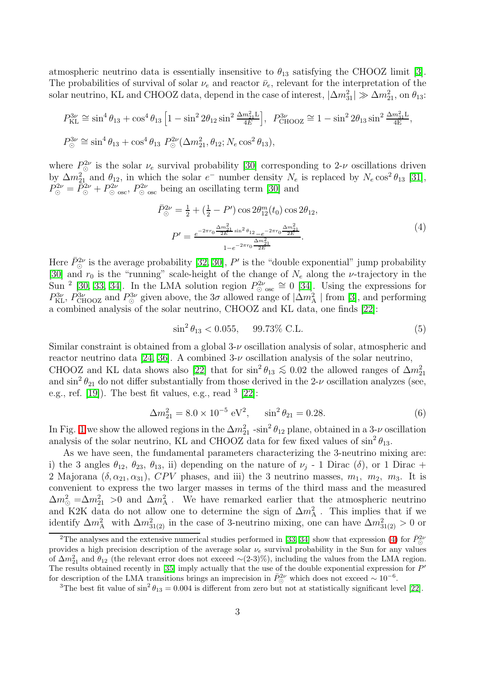atmospheric neutrino data is essentially insensitive to  $\theta_{13}$  satisfying the CHOOZ limit [\[3\]](#page-11-2). The probabilities of survival of solar  $\nu_e$  and reactor  $\bar{\nu}_e$ , relevant for the interpretation of the solar neutrino, KL and CHOOZ data, depend in the case of interest,  $|\Delta m_{31}^2| \gg \Delta m_{21}^2$ , on  $\theta_{13}$ :

$$
P_{\text{KL}}^{3\nu} \cong \sin^4 \theta_{13} + \cos^4 \theta_{13} \left[ 1 - \sin^2 2\theta_{12} \sin^2 \frac{\Delta m_{21}^2 L}{4E} \right], \quad P_{\text{CHOOZ}}^{3\nu} \cong 1 - \sin^2 2\theta_{13} \sin^2 \frac{\Delta m_{31}^2 L}{4E},
$$
  

$$
P_{\odot}^{3\nu} \cong \sin^4 \theta_{13} + \cos^4 \theta_{13} P_{\odot}^{2\nu} (\Delta m_{21}^2, \theta_{12}; N_e \cos^2 \theta_{13}),
$$

where  $P^{2\nu}_{\odot}$  is the solar  $\nu_e$  survival probability [\[30\]](#page-12-18) corresponding to 2- $\nu$  oscillations driven by  $\Delta m_{21}^2$  and  $\theta_{12}$ , in which the solar  $e^-$  number density  $N_e$  is replaced by  $N_e \cos^2 \theta_{13}$  [\[31\]](#page-12-19),  $P^{2\nu}_{\odot} = \bar{P}^{2\nu}_{\odot} + P^{2\nu}_{\odot \text{ osc}}, P^{2\nu}_{\odot \text{ osc}}$  being an oscillating term [\[30\]](#page-12-18) and

<span id="page-2-0"></span>
$$
\bar{P}_{\odot}^{2\nu} = \frac{1}{2} + \left(\frac{1}{2} - P'\right) \cos 2\theta_{12}^m(t_0) \cos 2\theta_{12},
$$
\n
$$
P' = \frac{e^{-2\pi r_0 \frac{\Delta m_{21}^2}{2E} \sin^2 \theta_{12} - e^{-2\pi r_0 \frac{\Delta m_{21}^2}{2E}}}{1 - e^{-2\pi r_0 \frac{\Delta m_{21}^2}{2E}}}.
$$
\n(4)

Here  $\bar{P}_{\odot}^{2\nu}$  is the average probability [\[32,](#page-12-20) [30\]](#page-12-18), P' is the "double exponential" jump probability [\[30\]](#page-12-18) and  $r_0$  is the "running" scale-height of the change of  $N_e$  along the *v*-trajectory in the Sun<sup>2</sup> [\[30,](#page-12-18) [33,](#page-12-21) [34\]](#page-12-22). In the LMA solution region  $P_{\odot}^{2\nu}$   $\cong$  0 [\[34\]](#page-12-22). Using the expressions for  $P_{\text{KL}}^{3\nu}$ ,  $P_{\text{CHOOZ}}^{3\nu}$  and  $P_{\odot}^{3\nu}$  given above, the  $3\sigma$  allowed range of  $|\Delta m_{\text{A}}^2|$  from [\[3\]](#page-11-2), and performing a combined analysis of the solar neutrino, CHOOZ and KL data, one finds [\[22\]](#page-12-10):

<span id="page-2-2"></span>
$$
\sin^2 \theta_{13} < 0.055, \quad 99.73\% \text{ C.L.} \tag{5}
$$

Similar constraint is obtained from a global  $3-\nu$  oscillation analysis of solar, atmospheric and reactor neutrino data [\[24,](#page-12-16) [36\]](#page-13-0). A combined  $3-\nu$  oscillation analysis of the solar neutrino, CHOOZ and KL data shows also [\[22\]](#page-12-10) that for  $\sin^2\theta_{13} \lesssim 0.02$  the allowed ranges of  $\Delta m_{21}^2$ and  $\sin^2 \theta_{21}$  do not differ substantially from those derived in the 2- $\nu$  oscillation analyzes (see, e.g., ref.  $[19]$ ). The best fit values, e.g., read  $3$   $[22]$ :

$$
\Delta m_{21}^2 = 8.0 \times 10^{-5} \text{ eV}^2, \qquad \sin^2 \theta_{21} = 0.28. \tag{6}
$$

<span id="page-2-1"></span>In Fig. [1](#page-3-0) we show the allowed regions in the  $\Delta m_{21}^2$  -sin<sup>2</sup>  $\theta_{12}$  plane, obtained in a 3-*v* oscillation analysis of the solar neutrino, KL and CHOOZ data for few fixed values of  $\sin^2 \theta_{13}$ .

As we have seen, the fundamental parameters characterizing the 3-neutrino mixing are: i) the 3 angles  $\theta_{12}$ ,  $\theta_{23}$ ,  $\theta_{13}$ , ii) depending on the nature of  $\nu_j$  - 1 Dirac ( $\delta$ ), or 1 Dirac + 2 Majorana  $(\delta, \alpha_{21}, \alpha_{31})$ , CPV phases, and iii) the 3 neutrino masses,  $m_1$ ,  $m_2$ ,  $m_3$ . It is convenient to express the two larger masses in terms of the third mass and the measured  $\Delta m_{\odot}^2 = \Delta m_{21}^2 > 0$  and  $\Delta m_A^2$ . We have remarked earlier that the atmospheric neutrino and K2K data do not allow one to determine the sign of  $\Delta m_A^2$ . This implies that if we identify  $\Delta m_A^2$  with  $\Delta m_{31(2)}^2$  in the case of 3-neutrino mixing, one can have  $\Delta m_{31(2)}^2 > 0$  or

<sup>&</sup>lt;sup>2</sup>The analyses and the extensive numerical studies performed in [\[33,](#page-12-21) [34\]](#page-12-22) show that expression [\(4\)](#page-2-0) for  $\bar{P}_{\odot}^{2\nu}$ provides a high precision description of the average solar  $\nu_e$  survival probability in the Sun for any values of  $\Delta m_{21}^2$  and  $\theta_{12}$  (the relevant error does not exceed ~(2-3)%), including the values from the LMA region. The results obtained recently in  $[35]$  imply actually that the use of the double exponential expression for  $P'$ for description of the LMA transitions brings an imprecision in  $\bar{P}_{\odot}^{2\nu}$  which does not exceed ~ 10<sup>-6</sup>.

<sup>&</sup>lt;sup>3</sup>The best fit value of  $\sin^2 \theta_{13} = 0.004$  is different from zero but not at statistically significant level [\[22\]](#page-12-10).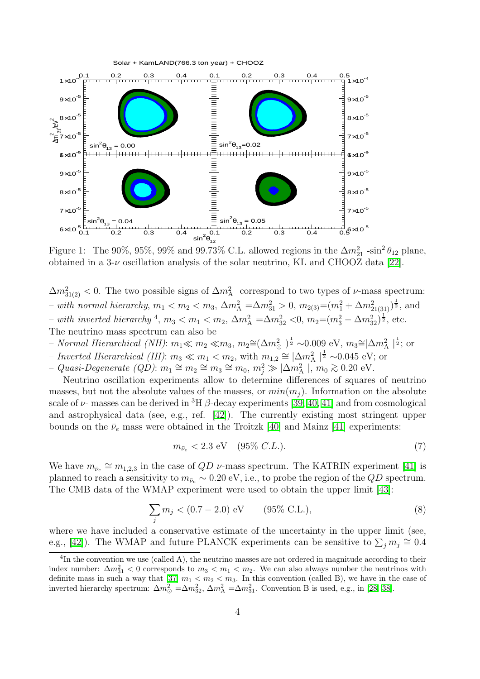

<span id="page-3-0"></span>Figure 1: The 90%, 95%, 99% and 99.73% C.L. allowed regions in the  $\Delta m_{21}^2$  -sin<sup>2</sup>  $\theta_{12}$  plane, obtained in a  $3-\nu$  oscillation analysis of the solar neutrino, KL and CHOOZ data [\[22\]](#page-12-10).

 $\Delta m_{31(2)}^2$  < 0. The two possible signs of  $\Delta m_A^2$  correspond to two types of  $\nu$ -mass spectrum:  $-$  with normal hierarchy,  $m_1 < m_2 < m_3$ ,  $\Delta m_A^2 = \Delta m_{31}^2 > 0$ ,  $m_{2(3)} = (m_1^2 + \Delta m_{21(31)}^2)^{\frac{1}{2}}$ , and  $-$  with inverted hierarchy <sup>4</sup>, m<sub>3</sub> < m<sub>1</sub> < m<sub>2</sub>, Δm<sub>2</sub><sup>2</sup> = Δm<sub>32</sub> < 0, m<sub>2</sub> = (m<sub>3</sub><sup>2</sup> – Δm<sub>32</sub>)<sup>1</sup>/<sub>2</sub>, etc. The neutrino mass spectrum can also be

- − Normal Hierarchical (NH):  $m_1 \ll m_2 \ll m_3$ ,  $m_2 \approx (\Delta m^2_{\odot})^{\frac{1}{2}} \sim 0.009$  eV,  $m_3 \approx |\Delta m^2_{\rm A}|^{\frac{1}{2}}$ ; or
- Inverted Hierarchical (IH):  $m_3 \ll m_1 < m_2$ , with  $m_{1,2} \approx |\Delta m_{\rm A}^2|^{1 \over 2} \sim 0.045$  eV; or
- $-$  Quasi-Degenerate (QD):  $m_1 \cong m_2 \cong m_3 \cong m_0$ ,  $m_j^2 \gg |\Delta m_A^2|$ ,  $m_0 \gtrsim 0.20$  eV.

Neutrino oscillation experiments allow to determine differences of squares of neutrino masses, but not the absolute values of the masses, or  $min(m_i)$ . Information on the absolute scale of  $\nu$ - masses can be derived in <sup>3</sup>H  $\beta$ -decay experiments [\[39,](#page-13-2) [40,](#page-13-3) [41\]](#page-13-4) and from cosmological and astrophysical data (see, e.g., ref. [\[42\]](#page-13-5)). The currently existing most stringent upper bounds on the  $\bar{\nu}_e$  mass were obtained in the Troitzk [\[40\]](#page-13-3) and Mainz [\[41\]](#page-13-4) experiments:

$$
m_{\bar{\nu}_e} < 2.3 \text{ eV} \quad (95\% \, C.L.). \tag{7}
$$

We have  $m_{\bar{\nu}_e} \cong m_{1,2,3}$  in the case of  $QD \nu$ -mass spectrum. The KATRIN experiment [\[41\]](#page-13-4) is planned to reach a sensitivity to  $m_{\bar{\nu}_e} \sim 0.20 \text{ eV}$ , i.e., to probe the region of the  $QD$  spectrum. The CMB data of the WMAP experiment were used to obtain the upper limit [\[43\]](#page-13-6):

$$
\sum_{j} m_j < (0.7 - 2.0) \text{ eV} \qquad (95\% \text{ C.L.}), \tag{8}
$$

where we have included a conservative estimate of the uncertainty in the upper limit (see, e.g., [\[42\]](#page-13-5)). The WMAP and future PLANCK experiments can be sensitive to  $\sum_j m_j \approx 0.4$ 

<sup>&</sup>lt;sup>4</sup>In the convention we use (called A), the neutrino masses are not ordered in magnitude according to their index number:  $\Delta m_{31}^2 < 0$  corresponds to  $m_3 < m_1 < m_2$ . We can also always number the neutrinos with definite mass in such a way that [\[37\]](#page-13-7)  $m_1 < m_2 < m_3$ . In this convention (called B), we have in the case of inverted hierarchy spectrum:  $\Delta m_{\odot}^2 = \Delta m_{32}^2$ ,  $\Delta m_{\rm A}^2 = \Delta m_{31}^2$ . Convention B is used, e.g., in [\[28,](#page-12-14) [38\]](#page-13-8).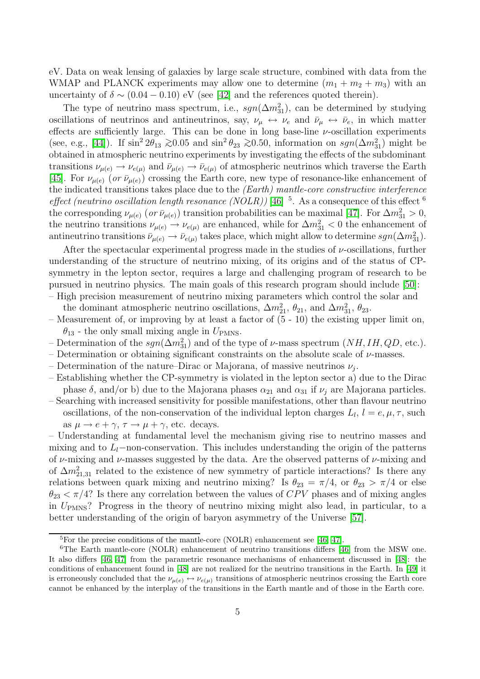eV. Data on weak lensing of galaxies by large scale structure, combined with data from the WMAP and PLANCK experiments may allow one to determine  $(m_1 + m_2 + m_3)$  with an uncertainty of  $\delta \sim (0.04 - 0.10)$  eV (see [\[42\]](#page-13-5) and the references quoted therein).

The type of neutrino mass spectrum, i.e.,  $sgn(\Delta m_{31}^2)$ , can be determined by studying oscillations of neutrinos and antineutrinos, say,  $\nu_\mu \leftrightarrow \nu_e$  and  $\bar{\nu}_\mu \leftrightarrow \bar{\nu}_e$ , in which matter effects are sufficiently large. This can be done in long base-line  $\nu$ -oscillation experiments (see, e.g., [\[44\]](#page-13-9)). If  $\sin^2 2\theta_{13} \gtrsim 0.05$  and  $\sin^2 \theta_{23} \gtrsim 0.50$ , information on  $sgn(\Delta m_{31}^2)$  might be obtained in atmospheric neutrino experiments by investigating the effects of the subdominant transitions  $\nu_{\mu(e)} \to \nu_{e(\mu)}$  and  $\bar{\nu}_{\mu(e)} \to \bar{\nu}_{e(\mu)}$  of atmospheric neutrinos which traverse the Earth [\[45\]](#page-13-10). For  $\nu_{\mu(e)}$  (or  $\bar{\nu}_{\mu(e)}$ ) crossing the Earth core, new type of resonance-like enhancement of the indicated transitions takes place due to the (Earth) mantle-core constructive interference effect (neutrino oscillation length resonance (NOLR)) [\[46\]](#page-13-11)  $^5$ . As a consequence of this effect  $^6$ the corresponding  $\nu_{\mu(e)}$  (or  $\bar{\nu}_{\mu(e)}$ ) transition probabilities can be maximal [\[47\]](#page-13-12). For  $\Delta m_{31}^2 > 0$ , the neutrino transitions  $\nu_{\mu(e)} \to \nu_{e(\mu)}$  are enhanced, while for  $\Delta m_{31}^2 < 0$  the enhancement of antineutrino transitions  $\bar{\nu}_{\mu(e)} \to \bar{\nu}_{e(\mu)}$  takes place, which might allow to determine  $sgn(\Delta m_{31}^2)$ .

After the spectacular experimental progress made in the studies of  $\nu$ -oscillations, further understanding of the structure of neutrino mixing, of its origins and of the status of CPsymmetry in the lepton sector, requires a large and challenging program of research to be pursued in neutrino physics. The main goals of this research program should include [\[50\]](#page-13-13): – High precision measurement of neutrino mixing parameters which control the solar and

the dominant atmospheric neutrino oscillations,  $\Delta m_{21}^2$ ,  $\theta_{21}$ , and  $\Delta m_{31}^2$ ,  $\theta_{23}$ .

- Measurement of, or improving by at least a factor of (5 10) the existing upper limit on,  $\theta_{13}$  - the only small mixing angle in  $U_{PMNS}$ .
- Determination of the  $sgn(\Delta m_{31}^2)$  and of the type of  $\nu$ -mass spectrum  $(NH, IH, QD,$  etc.).
- Determination or obtaining significant constraints on the absolute scale of  $\nu$ -masses.
- Determination of the nature–Dirac or Majorana, of massive neutrinos  $\nu_j$ .
- Establishing whether the CP-symmetry is violated in the lepton sector a) due to the Dirac phase  $\delta$ , and/or b) due to the Majorana phases  $\alpha_{21}$  and  $\alpha_{31}$  if  $\nu_i$  are Majorana particles.
- Searching with increased sensitivity for possible manifestations, other than flavour neutrino oscillations, of the non-conservation of the individual lepton charges  $L_l$ ,  $l = e, \mu, \tau$ , such as  $\mu \rightarrow e + \gamma$ ,  $\tau \rightarrow \mu + \gamma$ , etc. decays.

– Understanding at fundamental level the mechanism giving rise to neutrino masses and mixing and to  $L_l$ −non-conservation. This includes understanding the origin of the patterns of  $\nu$ -mixing and  $\nu$ -masses suggested by the data. Are the observed patterns of  $\nu$ -mixing and of  $\Delta m_{21,31}^2$  related to the existence of new symmetry of particle interactions? Is there any relations between quark mixing and neutrino mixing? Is  $\theta_{23} = \pi/4$ , or  $\theta_{23} > \pi/4$  or else  $\theta_{23} < \pi/4$ ? Is there any correlation between the values of CPV phases and of mixing angles in UPMNS? Progress in the theory of neutrino mixing might also lead, in particular, to a better understanding of the origin of baryon asymmetry of the Universe [\[57\]](#page-13-14).

 ${}^{5}$ For the precise conditions of the mantle-core (NOLR) enhancement see [\[46,](#page-13-11) [47\]](#page-13-12).

<sup>&</sup>lt;sup>6</sup>The Earth mantle-core (NOLR) enhancement of neutrino transitions differs [\[46\]](#page-13-11) from the MSW one. It also differs [\[46,](#page-13-11) [47\]](#page-13-12) from the parametric resonance mechanisms of enhancement discussed in [\[48\]](#page-13-15): the conditions of enhancement found in [\[48\]](#page-13-15) are not realized for the neutrino transitions in the Earth. In [\[49\]](#page-13-16) it is erroneously concluded that the  $\nu_{\mu(e)} \leftrightarrow \nu_{e(\mu)}$  transitions of atmospheric neutrinos crossing the Earth core cannot be enhanced by the interplay of the transitions in the Earth mantle and of those in the Earth core.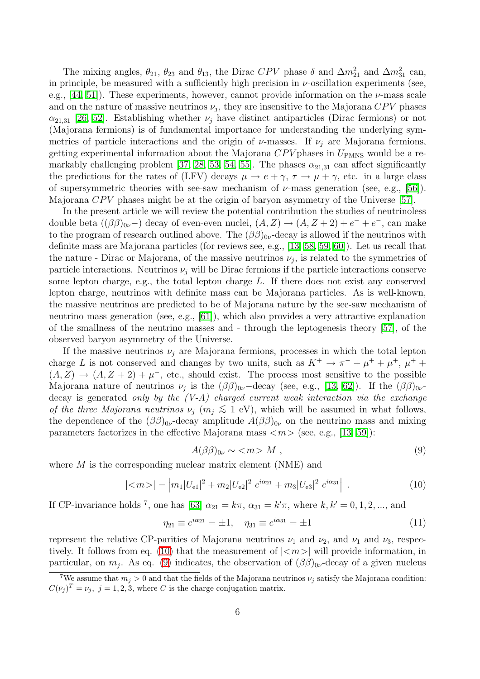The mixing angles,  $\theta_{21}$ ,  $\theta_{23}$  and  $\theta_{13}$ , the Dirac CPV phase  $\delta$  and  $\Delta m_{21}^2$  and  $\Delta m_{31}^2$  can, in principle, be measured with a sufficiently high precision in  $\nu$ -oscillation experiments (see, e.g., [\[44,](#page-13-9) [51\]](#page-13-17)). These experiments, however, cannot provide information on the  $\nu$ -mass scale and on the nature of massive neutrinos  $\nu_j$ , they are insensitive to the Majorana  $CPV$  phases  $\alpha_{21,31}$  [\[26,](#page-12-12) [52\]](#page-13-18). Establishing whether  $\nu_i$  have distinct antiparticles (Dirac fermions) or not (Majorana fermions) is of fundamental importance for understanding the underlying symmetries of particle interactions and the origin of  $\nu$ -masses. If  $\nu_i$  are Majorana fermions, getting experimental information about the Majorana  $CPV$  phases in  $U_{PMNS}$  would be a re-markably challenging problem [\[37,](#page-13-7) [28,](#page-12-14) [53,](#page-13-19) [54,](#page-13-20) [55\]](#page-13-21). The phases  $\alpha_{21,31}$  can affect significantly the predictions for the rates of (LFV) decays  $\mu \to e + \gamma$ ,  $\tau \to \mu + \gamma$ , etc. in a large class of supersymmetric theories with see-saw mechanism of  $\nu$ -mass generation (see, e.g., [\[56\]](#page-13-22)). Majorana  $CPV$  phases might be at the origin of baryon asymmetry of the Universe [\[57\]](#page-13-14).

In the present article we will review the potential contribution the studies of neutrinoless double beta  $((\beta\beta)_{0\nu})$  decay of even-even nuclei,  $(A, Z) \rightarrow (A, Z + 2) + e^- + e^-$ , can make to the program of research outlined above. The  $(\beta\beta)_{0\nu}$ -decay is allowed if the neutrinos with definite mass are Majorana particles (for reviews see, e.g., [\[13,](#page-12-1) [58,](#page-14-0) [59,](#page-14-1) [60\]](#page-14-2)). Let us recall that the nature - Dirac or Majorana, of the massive neutrinos  $\nu_j$ , is related to the symmetries of particle interactions. Neutrinos  $\nu_i$  will be Dirac fermions if the particle interactions conserve some lepton charge, e.g., the total lepton charge L. If there does not exist any conserved lepton charge, neutrinos with definite mass can be Majorana particles. As is well-known, the massive neutrinos are predicted to be of Majorana nature by the see-saw mechanism of neutrino mass generation (see, e.g., [\[61\]](#page-14-3)), which also provides a very attractive explanation of the smallness of the neutrino masses and - through the leptogenesis theory [\[57\]](#page-13-14), of the observed baryon asymmetry of the Universe.

If the massive neutrinos  $\nu_i$  are Majorana fermions, processes in which the total lepton charge L is not conserved and changes by two units, such as  $K^+ \to \pi^- + \mu^+ + \mu^+$ ,  $\mu^+ +$  $(A, Z) \rightarrow (A, Z + 2) + \mu^{-}$ , etc., should exist. The process most sensitive to the possible Majorana nature of neutrinos  $\nu_j$  is the  $(\beta\beta)_{0\nu}$ -decay (see, e.g., [\[13,](#page-12-1) [62\]](#page-14-4)). If the  $(\beta\beta)_{0\nu}$ decay is generated only by the  $(V-A)$  charged current weak interaction via the exchange of the three Majorana neutrinos  $\nu_i$  ( $m_i \lesssim 1$  eV), which will be assumed in what follows, the dependence of the  $(\beta\beta)_{0\nu}$ -decay amplitude  $A(\beta\beta)_{0\nu}$  on the neutrino mass and mixing parameters factorizes in the effective Majorana mass  $\langle m \rangle$  (see, e.g., [\[13,](#page-12-1) [59\]](#page-14-1)):

$$
A(\beta\beta)_{0\nu} \sim \langle m \rangle M , \qquad (9)
$$

<span id="page-5-0"></span>where  $M$  is the corresponding nuclear matrix element (NME) and

<span id="page-5-1"></span>
$$
|\langle m \rangle| = |m_1|U_{e1}|^2 + m_2|U_{e2}|^2 e^{i\alpha_{21}} + m_3|U_{e3}|^2 e^{i\alpha_{31}}.
$$
 (10)

If CP-invariance holds <sup>7</sup>, one has [\[63\]](#page-14-5)  $\alpha_{21} = k\pi$ ,  $\alpha_{31} = k'\pi$ , where  $k, k' = 0, 1, 2, \dots$ , and

$$
\eta_{21} \equiv e^{i\alpha_{21}} = \pm 1, \quad \eta_{31} \equiv e^{i\alpha_{31}} = \pm 1 \tag{11}
$$

represent the relative CP-parities of Majorana neutrinos  $\nu_1$  and  $\nu_2$ , and  $\nu_1$  and  $\nu_3$ , respec-tively. It follows from eq. [\(10\)](#page-5-0) that the measurement of  $|\langle m \rangle|$  will provide information, in particular, on  $m_j$ . As eq. [\(9\)](#page-5-1) indicates, the observation of  $(\beta\beta)_{0\nu}$ -decay of a given nucleus

<sup>&</sup>lt;sup>7</sup>We assume that  $m_i > 0$  and that the fields of the Majorana neutrinos  $\nu_i$  satisfy the Majorana condition:  $C(\bar{\nu}_j)^T = \nu_j$ ,  $j = 1, 2, 3$ , where C is the charge conjugation matrix.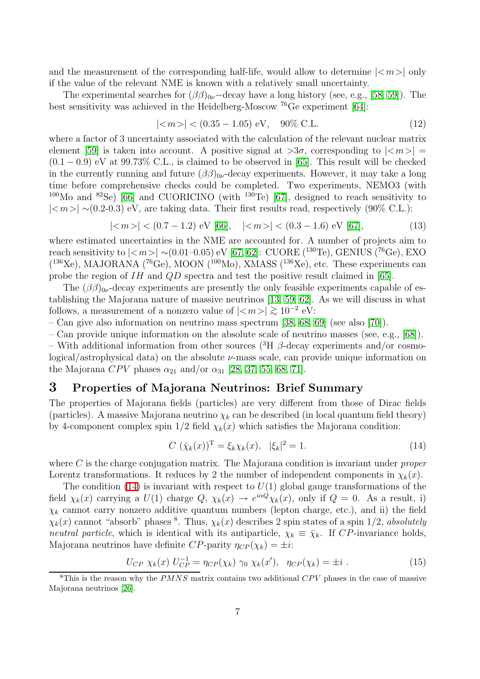and the measurement of the corresponding half-life, would allow to determine  $|<sub>m</sub>>\rangle$  only if the value of the relevant NME is known with a relatively small uncertainty.

<span id="page-6-1"></span>The experimental searches for  $(\beta \beta)_{0\nu}$  –decay have a long history (see, e.g., [\[58,](#page-14-0) [59\]](#page-14-1)). The best sensitivity was achieved in the Heidelberg-Moscow <sup>76</sup>Ge experiment [\[64\]](#page-14-6):

<span id="page-6-2"></span>
$$
|\langle m \rangle| < (0.35 - 1.05) \text{ eV}, \quad 90\% \text{ C.L.}
$$
 (12)

where a factor of 3 uncertainty associated with the calculation of the relevant nuclear matrix element [\[59\]](#page-14-1) is taken into account. A positive signal at  $>3\sigma$ , corresponding to  $|\langle m \rangle|$  =  $(0.1 - 0.9)$  eV at 99.73% C.L., is claimed to be observed in [\[65\]](#page-14-7). This result will be checked in the currently running and future  $(\beta \beta)_{0\nu}$ -decay experiments. However, it may take a long time before comprehensive checks could be completed. Two experiments, NEMO3 (with <sup>100</sup>Mo and <sup>82</sup>Se) [\[66\]](#page-14-8) and CUORICINO (with <sup>130</sup>Te) [\[67\]](#page-14-9), designed to reach sensitivity to  $|\langle m \rangle|$  ∼(0.2-0.3) eV, are taking data. Their first results read, respectively (90% C.L.):

$$
|\langle m \rangle| < (0.7 - 1.2) \text{ eV [66]}, \quad |\langle m \rangle| < (0.3 - 1.6) \text{ eV [67]}, \tag{13}
$$

where estimated uncertainties in the NME are accounted for. A number of projects aim to reach sensitivity to  $||$  ~(0.01–0.05) eV [\[67,](#page-14-9) [62\]](#page-14-4): CUORE (<sup>130</sup>Te), GENIUS (<sup>76</sup>Ge), EXO  $(136\text{Xe})$ , MAJORANA  $(76\text{Ge})$ , MOON  $(100\text{Mo})$ , XMASS  $(136\text{Xe})$ , etc. These experiments can probe the region of IH and QD spectra and test the positive result claimed in [\[65\]](#page-14-7).

The  $(\beta\beta)_{0\nu}$ -decay experiments are presently the only feasible experiments capable of establishing the Majorana nature of massive neutrinos [\[13,](#page-12-1) [59,](#page-14-1) [62\]](#page-14-4). As we will discuss in what follows, a measurement of a nonzero value of  $|\langle m \rangle| \gtrsim 10^{-2}$  eV:

– Can give also information on neutrino mass spectrum [\[38,](#page-13-8) [68,](#page-14-10) [69\]](#page-14-11) (see also [\[70\]](#page-14-12)).

– Can provide unique information on the absolute scale of neutrino masses (see, e.g., [\[68\]](#page-14-10)).

– With additional information from other sources (<sup>3</sup>H  $\beta$ -decay experiments and/or cosmological/astrophysical data) on the absolute  $\nu$ -mass scale, can provide unique information on the Majorana CPV phases  $\alpha_{21}$  and/or  $\alpha_{31}$  [\[28,](#page-12-14) [37,](#page-13-7) [55,](#page-13-21) [68,](#page-14-10) [71\]](#page-14-13).

### 3 Properties of Majorana Neutrinos: Brief Summary

The properties of Majorana fields (particles) are very different from those of Dirac fields (particles). A massive Majorana neutrino  $\chi_k$  can be described (in local quantum field theory) by 4-component complex spin  $1/2$  field  $\chi_k(x)$  which satisfies the Majorana condition:

<span id="page-6-0"></span>
$$
C\left(\bar{\chi}_k(x)\right)^{\mathrm{T}} = \xi_k \chi_k(x), \ \ |\xi_k|^2 = 1. \tag{14}
$$

where  $C$  is the charge conjugation matrix. The Majorana condition is invariant under *proper* Lorentz transformations. It reduces by 2 the number of independent components in  $\chi_k(x)$ .

The condition [\(14\)](#page-6-0) is invariant with respect to  $U(1)$  global gauge transformations of the field  $\chi_k(x)$  carrying a  $U(1)$  charge  $Q$ ,  $\chi_k(x) \to e^{i\alpha Q} \chi_k(x)$ , only if  $Q = 0$ . As a result, i)  $\chi_k$  cannot carry nonzero additive quantum numbers (lepton charge, etc.), and ii) the field  $\chi_k(x)$  cannot "absorb" phases <sup>8</sup>. Thus,  $\chi_k(x)$  describes 2 spin states of a spin 1/2, absolutely neutral particle, which is identical with its antiparticle,  $\chi_k \equiv \bar{\chi}_k$ . If CP-invariance holds, Majorana neutrinos have definite  $CP$ -parity  $\eta_{CP}(\chi_k) = \pm i$ :

$$
U_{CP} \chi_k(x) U_{CP}^{-1} = \eta_{CP}(\chi_k) \gamma_0 \chi_k(x'), \quad \eta_{CP}(\chi_k) = \pm i \tag{15}
$$

<sup>&</sup>lt;sup>8</sup>This is the reason why the *PMNS* matrix contains two additional  $CPV$  phases in the case of massive Majorana neutrinos [\[26\]](#page-12-12).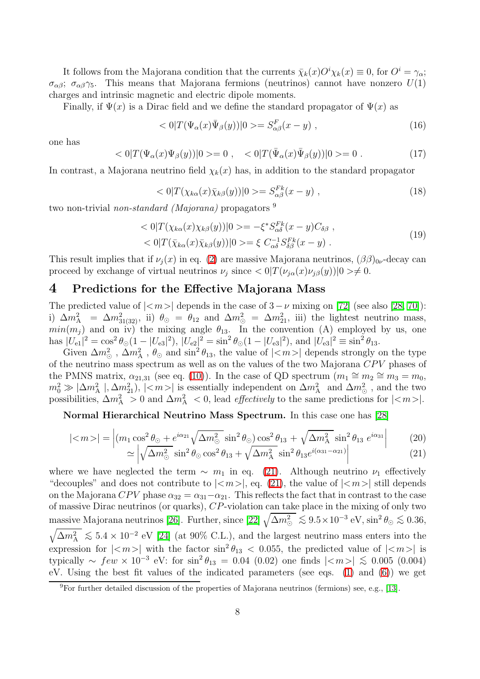It follows from the Majorana condition that the currents  $\bar{\chi}_k(x)O^i\chi_k(x) \equiv 0$ , for  $O^i = \gamma_{\alpha}$ ;  $\sigma_{\alpha\beta}$ ;  $\sigma_{\alpha\beta}$ , This means that Majorana fermions (neutrinos) cannot have nonzero  $U(1)$ charges and intrinsic magnetic and electric dipole moments.

Finally, if  $\Psi(x)$  is a Dirac field and we define the standard propagator of  $\Psi(x)$  as

$$
\langle 0|T(\Psi_{\alpha}(x)\overline{\Psi}_{\beta}(y))|0\rangle = S^{F}_{\alpha\beta}(x-y) , \qquad (16)
$$

one has

$$
\langle 0|T(\Psi_{\alpha}(x)\Psi_{\beta}(y))|0\rangle = 0 , \quad \langle 0|T(\bar{\Psi}_{\alpha}(x)\bar{\Psi}_{\beta}(y))|0\rangle = 0 . \tag{17}
$$

In contrast, a Majorana neutrino field  $\chi_k(x)$  has, in addition to the standard propagator

$$
\langle 0|T(\chi_{k\alpha}(x)\bar{\chi}_{k\beta}(y))|0\rangle = S_{\alpha\beta}^{Fk}(x-y) , \qquad (18)
$$

two non-trivial *non-standard (Majorana)* propagators  $9$ 

$$
\langle 0|T(\chi_{k\alpha}(x)\chi_{k\beta}(y))|0\rangle = -\xi^* S_{\alpha\delta}^{Fk}(x-y)C_{\delta\beta} ,\langle 0|T(\bar{\chi}_{k\alpha}(x)\bar{\chi}_{k\beta}(y))|0\rangle = \xi C_{\alpha\delta}^{-1} S_{\delta\beta}^{Fk}(x-y) .
$$
\n(19)

This result implies that if  $\nu_i(x)$  in eq. [\(2\)](#page-1-0) are massive Majorana neutrinos,  $(\beta \beta)_{0\nu}$ -decay can proceed by exchange of virtual neutrinos  $\nu_j$  since  $\langle 0|T(\nu_{j\alpha}(x)\nu_{j\beta}(y))|0\rangle \neq 0.$ 

#### 4 Predictions for the Effective Majorana Mass

The predicted value of  $|$  depends in the case of  $3-\nu$  mixing on [\[72\]](#page-14-14) (see also [\[28,](#page-12-14) [70\]](#page-14-12)): i)  $\Delta m_A^2 = \Delta m_{31(32)}^2$ , ii)  $\theta_{\odot} = \theta_{12}$  and  $\Delta m_{\odot}^2 = \Delta m_{21}^2$ , iii) the lightest neutrino mass,  $min(m_j)$  and on iv) the mixing angle  $\theta_{13}$ . In the convention (A) employed by us, one has  $|U_{e1}|^2 = \cos^2 \theta_{\odot} (1 - |U_{e3}|^2), |U_{e2}|^2 = \sin^2 \theta_{\odot} (1 - |U_{e3}|^2), \text{ and } |U_{e3}|^2 \equiv \sin^2 \theta_{13}.$ 

Given  $\Delta m_{\odot}^2$ ,  $\Delta m_{\rm A}^2$ ,  $\theta_{\odot}$  and  $\sin^2 \theta_{13}$ , the value of  $|<\!m>$  depends strongly on the type of the neutrino mass spectrum as well as on the values of the two Majorana  $CPV$  phases of the PMNS matrix,  $\alpha_{21,31}$  (see eq. [\(10\)](#page-5-0)). In the case of QD spectrum  $(m_1 \cong m_2 \cong m_3 = m_0,$  $m_0^2 \gg |\Delta m_A^2|, |\Delta m_{21}^2|, |\langle m \rangle|$  is essentially independent on  $\Delta m_A^2$  and  $\Delta m_\odot^2$ , and the two possibilities,  $\Delta m_A^2 > 0$  and  $\Delta m_A^2 < 0$ , lead *effectively* to the same predictions for  $|\langle m \rangle|$ .

<span id="page-7-1"></span>Normal Hierarchical Neutrino Mass Spectrum. In this case one has [\[28\]](#page-12-14)

<span id="page-7-0"></span>
$$
|\langle m \rangle| = \left| (m_1 \cos^2 \theta_{\odot} + e^{i\alpha_{21}} \sqrt{\Delta m_{\odot}^2} \sin^2 \theta_{\odot}) \cos^2 \theta_{13} + \sqrt{\Delta m_{\rm A}^2} \sin^2 \theta_{13} e^{i\alpha_{31}} \right| \tag{20}
$$

$$
\simeq \left| \sqrt{\Delta m_{\odot}^2} \sin^2 \theta_{\odot} \cos^2 \theta_{13} + \sqrt{\Delta m_{\rm A}^2} \sin^2 \theta_{13} e^{i(\alpha_{31} - \alpha_{21})} \right| \tag{21}
$$

where we have neglected the term  $\sim m_1$  in eq. [\(21\)](#page-7-0). Although neutrino  $\nu_1$  effectively "decouples" and does not contribute to  $|\langle m \rangle|$ , eq. [\(21\)](#page-7-0), the value of  $|\langle m \rangle|$  still depends on the Majorana CPV phase  $\alpha_{32} = \alpha_{31} - \alpha_{21}$ . This reflects the fact that in contrast to the case of massive Dirac neutrinos (or quarks), CP-violation can take place in the mixing of only two massive Majorana neutrinos [\[26\]](#page-12-12). Further, since  $[22]$   $\sqrt{\Delta m^2_\odot} \lesssim 9.5 \times 10^{-3}$  eV, sin<sup>2</sup>  $\theta_\odot \lesssim 0.36$ ,  $\sqrt{\Delta m_{\rm A}^2} \lesssim 5.4 \times 10^{-2}$  eV [\[24\]](#page-12-16) (at 90% C.L.), and the largest neutrino mass enters into the expression for  $|\langle m \rangle|$  with the factor  $\sin^2 \theta_{13}$   $\langle 0.055, 0.055 \rangle$  the predicted value of  $|\langle m \rangle|$  is typically  $\sim few \times 10^{-3}$  eV: for  $\sin^2\theta_{13} = 0.04$  (0.02) one finds  $|\langle m \rangle| \lesssim 0.005$  (0.004) eV. Using the best fit values of the indicated parameters (see eqs. [\(1\)](#page-1-1) and [\(6\)](#page-2-1)) we get

 $9$ For further detailed discussion of the properties of Majorana neutrinos (fermions) see, e.g., [\[13\]](#page-12-1).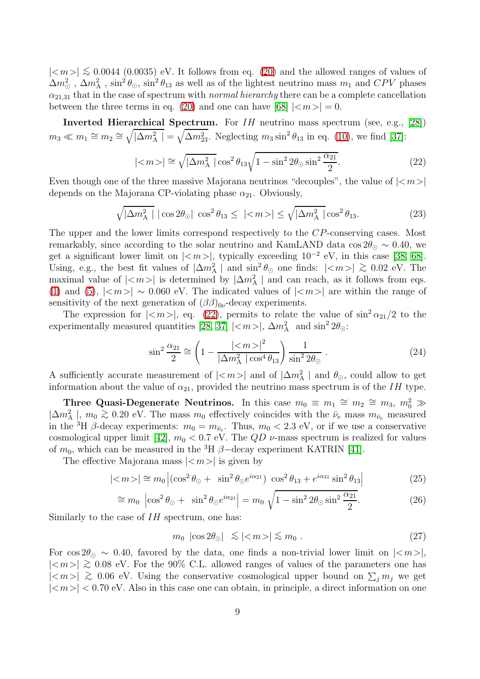$|\langle m \rangle| \lesssim 0.0044$  (0.0035) eV. It follows from eq. [\(20\)](#page-7-1) and the allowed ranges of values of  $\Delta m^2_\odot$ ,  $\Delta m^2_A$ ,  $\sin^2\theta_\odot$ ,  $\sin^2\theta_{13}$  as well as of the lightest neutrino mass  $m_1$  and  $CPV$  phases  $\alpha_{21,31}$  that in the case of spectrum with *normal hierarchy* there can be a complete cancellation between the three terms in eq. [\(20\)](#page-7-1) and one can have [\[68\]](#page-14-10)  $|\langle m \rangle| = 0$ .

<span id="page-8-0"></span>**Inverted Hierarchical Spectrum.** For  $IH$  neutrino mass spectrum (see, e.g., [\[28\]](#page-12-14))  $m_3 \ll m_1 \cong m_2 \cong \sqrt{|\Delta m_A^2|} = \sqrt{\Delta m_{23}^2}$ . Neglecting  $m_3 \sin^2 \theta_{13}$  in eq. [\(10\)](#page-5-0), we find [\[37\]](#page-13-7):

$$
|\langle m \rangle| \cong \sqrt{|\Delta m_{\rm A}^2|} \cos^2 \theta_{13} \sqrt{1 - \sin^2 2\theta \sin^2 \frac{\alpha_{21}}{2}}.
$$
 (22)

Even though one of the three massive Majorana neutrinos "decouples", the value of  $|\langle m \rangle|$ depends on the Majorana CP-violating phase  $\alpha_{21}$ . Obviously,

$$
\sqrt{|\Delta m_{\rm A}^2|} |\cos 2\theta_{\odot}| \cos^2 \theta_{13} \leq |\langle m \rangle| \leq \sqrt{|\Delta m_{\rm A}^2|} \cos^2 \theta_{13}.
$$
 (23)

The upper and the lower limits correspond respectively to the CP-conserving cases. Most remarkably, since according to the solar neutrino and KamLAND data cos  $2\theta_{\odot} \sim 0.40$ , we get a significant lower limit on  $|\langle m \rangle|$ , typically exceeding  $10^{-2}$  eV, in this case [\[38,](#page-13-8) [68\]](#page-14-10). Using, e.g., the best fit values of  $|\Delta m_A^2|$  and  $\sin^2\theta_{\odot}$  one finds:  $|\langle m \rangle| \gtrsim 0.02$  eV. The maximal value of  $|\langle m \rangle|$  is determined by  $|\Delta m_A^2|$  and can reach, as it follows from eqs. [\(1\)](#page-1-1) and [\(5\)](#page-2-2),  $|\langle m \rangle| \sim 0.060$  eV. The indicated values of  $|\langle m \rangle|$  are within the range of sensitivity of the next generation of  $(\beta\beta)_{0\nu}$ -decay experiments.

The expression for  $|\langle m \rangle|$ , eq. [\(22\)](#page-8-0), permits to relate the value of  $\sin^2 \alpha_{21}/2$  to the experimentally measured quantities [\[28,](#page-12-14) [37\]](#page-13-7)  $|<sub>m</sub>>|$ ,  $\Delta m_A^2$  and  $\sin^2 2\theta_{\odot}$ :

$$
\sin^2 \frac{\alpha_{21}}{2} \cong \left(1 - \frac{|\langle m \rangle|^2}{|\Delta m_A^2| \cos^4 \theta_{13}}\right) \frac{1}{\sin^2 2\theta_\odot} \,. \tag{24}
$$

A sufficiently accurate measurement of  $|\langle m \rangle|$  and of  $|\Delta m_A^2|$  and  $\theta_{\odot}$ , could allow to get information about the value of  $\alpha_{21}$ , provided the neutrino mass spectrum is of the IH type.

Three Quasi-Degenerate Neutrinos. In this case  $m_0 \equiv m_1 \cong m_2 \cong m_3$ ,  $m_0^2 \gg$  $|\Delta m_{\rm A}^2|$ ,  $m_0 \gtrsim 0.20$  eV. The mass  $m_0$  effectively coincides with the  $\bar{\nu}_e$  mass  $m_{\bar{\nu}_e}$  measured in the <sup>3</sup>H  $\beta$ -decay experiments:  $m_0 = m_{\bar{\nu}_e}$ . Thus,  $m_0 < 2.3$  eV, or if we use a conservative cosmological upper limit [\[42\]](#page-13-5),  $m_0 < 0.7$  eV. The QD  $\nu$ -mass spectrum is realized for values of  $m_0$ , which can be measured in the <sup>3</sup>H  $\beta$ -decay experiment KATRIN [\[41\]](#page-13-4).

The effective Majorana mass  $|\langle m \rangle|$  is given by

$$
|\langle m \rangle| \cong m_0 \left| (\cos^2 \theta_\odot + \sin^2 \theta_\odot e^{i\alpha_{21}}) \cos^2 \theta_{13} + e^{i\alpha_{31}} \sin^2 \theta_{13} \right| \tag{25}
$$

$$
\cong m_0 \left| \cos^2 \theta_\odot + \left| \sin^2 \theta_\odot e^{i\alpha_{21}} \right| \right| = m_0 \sqrt{1 - \sin^2 2\theta_\odot \sin^2 \frac{\alpha_{21}}{2}}.\tag{26}
$$

Similarly to the case of IH spectrum, one has:

$$
m_0 |\cos 2\theta_{\odot}| \lesssim |\langle m \rangle| \lesssim m_0 . \tag{27}
$$

For  $\cos 2\theta_{\odot} \sim 0.40$ , favored by the data, one finds a non-trivial lower limit on  $|\langle m \rangle|$ ,  $|\langle m \rangle|$  ≥ 0.08 eV. For the 90% C.L. allowed ranges of values of the parameters one has  $|\langle m \rangle|$  ≥ 0.06 eV. Using the conservative cosmological upper bound on  $\sum_j m_j$  we get  $|\langle m \rangle|$  < 0.70 eV. Also in this case one can obtain, in principle, a direct information on one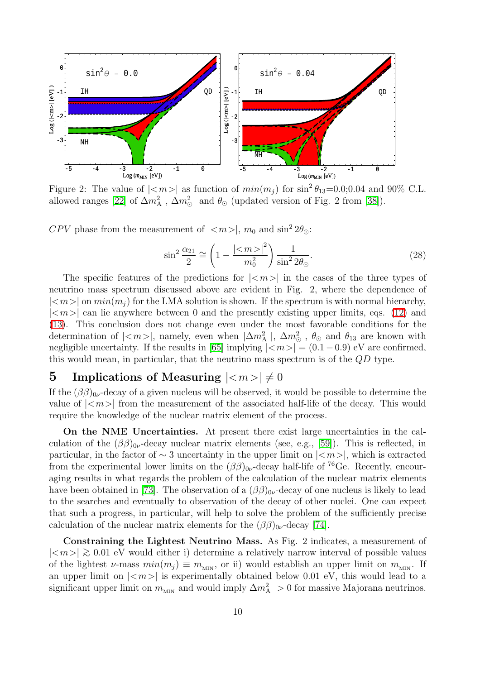

Figure 2: The value of  $|\langle m \rangle|$  as function of  $min(m_j)$  for  $\sin^2 \theta_{13} = 0.0; 0.04$  and 90% C.L. allowed ranges [\[22\]](#page-12-10) of  $\Delta m_A^2$ ,  $\Delta m_\odot^2$  and  $\theta_\odot$  (updated version of Fig. 2 from [\[38\]](#page-13-8)).

CPV phase from the measurement of  $|\langle m \rangle|$ ,  $m_0$  and  $\sin^2 2\theta_{\odot}$ :

$$
\sin^2 \frac{\alpha_{21}}{2} \cong \left(1 - \frac{|\langle m \rangle|^2}{m_0^2}\right) \frac{1}{\sin^2 2\theta_{\odot}}.
$$
\n(28)

The specific features of the predictions for  $|\langle m \rangle|$  in the cases of the three types of neutrino mass spectrum discussed above are evident in Fig. 2, where the dependence of  $|\langle m \rangle|$  on  $min(m_i)$  for the LMA solution is shown. If the spectrum is with normal hierarchy,  $|\langle m \rangle|$  can lie anywhere between 0 and the presently existing upper limits, eqs. [\(12\)](#page-6-1) and [\(13\)](#page-6-2). This conclusion does not change even under the most favorable conditions for the determination of  $|\langle m \rangle|$ , namely, even when  $|\Delta m_{\rm A}^2|$ ,  $\Delta m_{\odot}^2$ ,  $\theta_{\odot}$  and  $\theta_{13}$  are known with negligible uncertainty. If the results in [\[65\]](#page-14-7) implying  $|\langle m \rangle| = (0.1 - 0.9)$  eV are confirmed, this would mean, in particular, that the neutrino mass spectrum is of the  $OD$  type.

## 5 Implications of Measuring  $|\langle m \rangle| \neq 0$

If the  $(\beta\beta)_{0\nu}$ -decay of a given nucleus will be observed, it would be possible to determine the value of  $|\langle m \rangle|$  from the measurement of the associated half-life of the decay. This would require the knowledge of the nuclear matrix element of the process.

On the NME Uncertainties. At present there exist large uncertainties in the calculation of the  $(\beta\beta)_{0\nu}$ -decay nuclear matrix elements (see, e.g., [\[59\]](#page-14-1)). This is reflected, in particular, in the factor of  $\sim$  3 uncertainty in the upper limit on  $|\langle m \rangle|$ , which is extracted from the experimental lower limits on the  $(\beta\beta)_{0\nu}$ -decay half-life of <sup>76</sup>Ge. Recently, encouraging results in what regards the problem of the calculation of the nuclear matrix elements have been obtained in [\[73\]](#page-14-15). The observation of a  $(\beta\beta)_{0\nu}$ -decay of one nucleus is likely to lead to the searches and eventually to observation of the decay of other nuclei. One can expect that such a progress, in particular, will help to solve the problem of the sufficiently precise calculation of the nuclear matrix elements for the  $(\beta\beta)_{0\nu}$ -decay [\[74\]](#page-14-16).

Constraining the Lightest Neutrino Mass. As Fig. 2 indicates, a measurement of  $|\langle m \rangle|$  ≥ 0.01 eV would either i) determine a relatively narrow interval of possible values of the lightest  $\nu$ -mass  $min(m_j) \equiv m_{\text{MIN}}$ , or ii) would establish an upper limit on  $m_{\text{MIN}}$ . If an upper limit on  $|\langle m \rangle|$  is experimentally obtained below 0.01 eV, this would lead to a significant upper limit on  $m_{\text{MIN}}$  and would imply  $\Delta m_A^2 > 0$  for massive Majorana neutrinos.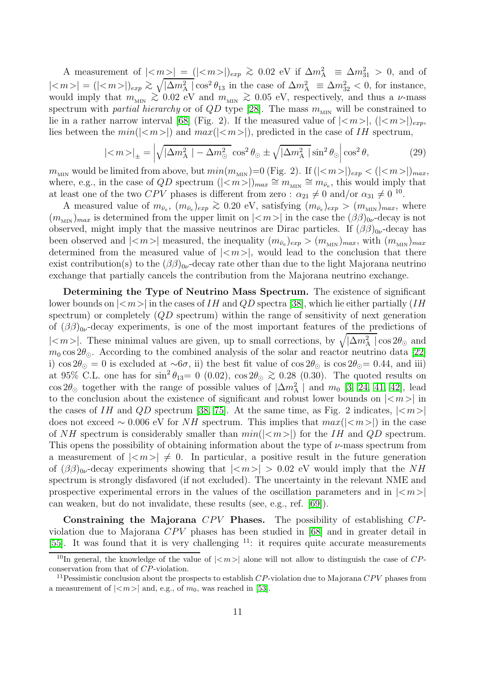A measurement of  $|\langle m \rangle| = (|\langle m \rangle|)_{exp} \gtrsim 0.02$  eV if  $\Delta m_A^2 \equiv \Delta m_{31}^2 > 0$ , and of  $|\langle m \rangle| = (|\langle m \rangle|)_{exp} \gtrsim \sqrt{|\Delta m_A^2|} \cos^2 \theta_{13}$  in the case of  $\Delta m_A^2 \equiv \Delta m_{32}^2 \langle 0$ , for instance, would imply that  $m_{\text{MIN}} \gtrsim 0.02$  eV and  $m_{\text{MIN}} \gtrsim 0.05$  eV, respectively, and thus a  $\nu$ -mass spectrum with *partial hierarchy* or of  $QD$  type [\[28\]](#page-12-14). The mass  $m_{\text{MIN}}$  will be constrained to lie in a rather narrow interval [\[68\]](#page-14-10) (Fig. 2). If the measured value of  $|\langle m \rangle|,$   $(|\langle m \rangle|)_{exp}$ , lies between the  $min(||\$  and  $max(||\)$ , predicted in the case of IH spectrum,

$$
|\langle m \rangle|_{\pm} = \left| \sqrt{|\Delta m_{\rm A}^2| - \Delta m_{\odot}^2} \cos^2 \theta_{\odot} \pm \sqrt{|\Delta m_{\rm A}^2|} \sin^2 \theta_{\odot} \right| \cos^2 \theta,\tag{29}
$$

 $m_{\text{MIN}}$  would be limited from above, but  $min(m_{\text{MIN}})=0$  (Fig. 2). If  $(|)|_{exp}<(|)|_{max}$ , where, e.g., in the case of QD spectrum  $(|<sub>m</sub>>\rangle)_{max} \cong m_{\mu} \cong m_{\bar{\nu}_e}$ , this would imply that at least one of the two CPV phases is different from zero :  $\alpha_{21} \neq 0$  and/or  $\alpha_{31} \neq 0$  <sup>10</sup>.

A measured value of  $m_{\bar{\nu}_e}$ ,  $(m_{\bar{\nu}_e})_{exp} \gtrsim 0.20$  eV, satisfying  $(m_{\bar{\nu}_e})_{exp} > (m_{\text{MIN}})_{max}$ , where  $(m_{\text{MIN}})_{max}$  is determined from the upper limit on  $|\langle m \rangle|$  in the case the  $(\beta \beta)_{0\nu}$ -decay is not observed, might imply that the massive neutrinos are Dirac particles. If  $(\beta\beta)_{0\nu}$ -decay has been observed and  $|<\!>m$  | measured, the inequality  $(m_{\bar{\nu}_e})_{exp} > (m_{\text{MIN}})_{max}$ , with  $(m_{\text{MIN}})_{max}$ determined from the measured value of  $|\langle m \rangle|$ , would lead to the conclusion that there exist contribution(s) to the  $(\beta\beta)_{0\nu}$ -decay rate other than due to the light Majorana neutrino exchange that partially cancels the contribution from the Majorana neutrino exchange.

Determining the Type of Neutrino Mass Spectrum. The existence of significant lower bounds on  $|$  in the cases of IH and QD spectra [\[38\]](#page-13-8), which lie either partially (IH spectrum) or completely  $(QD$  spectrum) within the range of sensitivity of next generation of  $(\beta\beta)_{0\nu}$ -decay experiments, is one of the most important features of the predictions of |<m>|. These minimal values are given, up to small corrections, by  $\sqrt{|\Delta m_A^2|}$  cos  $2\theta_{\odot}$  and  $m_0 \cos 2\theta_{\odot}$ . According to the combined analysis of the solar and reactor neutrino data [\[22\]](#page-12-10) i) cos  $2\theta_{\odot} = 0$  is excluded at  $\sim 6\sigma$ , ii) the best fit value of cos  $2\theta_{\odot}$  is cos  $2\theta_{\odot} = 0.44$ , and iii) at 95% C.L. one has for  $\sin^2 \theta_{13} = 0$  (0.02),  $\cos 2\theta_{\odot} \gtrsim 0.28$  (0.30). The quoted results on  $\cos 2\theta_{\odot}$  together with the range of possible values of  $|\Delta m_{\rm A}^2|$  and  $m_0$  [\[3,](#page-11-2) [24,](#page-12-16) [41,](#page-13-4) [42\]](#page-13-5), lead to the conclusion about the existence of significant and robust lower bounds on  $|<sub>m</sub>>|$  in the cases of IH and QD spectrum [\[38,](#page-13-8) [75\]](#page-14-17). At the same time, as Fig. 2 indicates,  $|\langle m \rangle|$ does not exceed ~ 0.006 eV for NH spectrum. This implies that  $max(|$ ) in the case of NH spectrum is considerably smaller than  $min(|$ ) for the IH and QD spectrum. This opens the possibility of obtaining information about the type of  $\nu$ -mass spectrum from a measurement of  $|\langle m \rangle| \neq 0$ . In particular, a positive result in the future generation of  $(\beta \beta)_{0\nu}$ -decay experiments showing that  $|\langle m \rangle| > 0.02$  eV would imply that the NH spectrum is strongly disfavored (if not excluded). The uncertainty in the relevant NME and prospective experimental errors in the values of the oscillation parameters and in  $|<\omega$ can weaken, but do not invalidate, these results (see, e.g., ref. [\[69\]](#page-14-11)).

Constraining the Majorana  $CPV$  Phases. The possibility of establishing  $CP$ violation due to Majorana  $CPV$  phases has been studied in [\[68\]](#page-14-10) and in greater detail in [\[55\]](#page-13-21). It was found that it is very challenging  $11$ : it requires quite accurate measurements

<sup>&</sup>lt;sup>10</sup>In general, the knowledge of the value of  $|\langle m \rangle|$  alone will not allow to distinguish the case of CPconservation from that of CP-violation.

<sup>&</sup>lt;sup>11</sup> Pessimistic conclusion about the prospects to establish  $CP$ -violation due to Majorana  $CPV$  phases from a measurement of  $|\langle m \rangle|$  and, e.g., of  $m_0$ , was reached in [\[53\]](#page-13-19).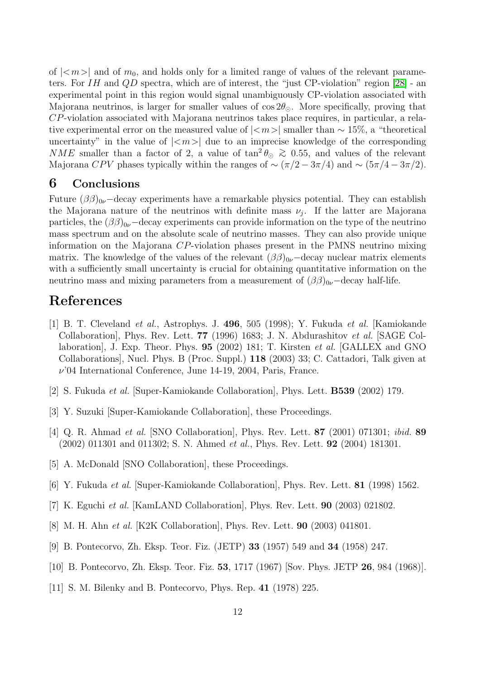of  $|\langle m \rangle|$  and of  $m_0$ , and holds only for a limited range of values of the relevant parameters. For  $IH$  and  $QD$  spectra, which are of interest, the "just CP-violation" region [\[28\]](#page-12-14) - an experimental point in this region would signal unambiguously CP-violation associated with Majorana neutrinos, is larger for smaller values of  $\cos 2\theta_{\odot}$ . More specifically, proving that CP-violation associated with Majorana neutrinos takes place requires, in particular, a relative experimental error on the measured value of  $|\langle m \rangle|$  smaller than ~ 15%, a "theoretical uncertainty" in the value of  $|\langle m \rangle|$  due to an imprecise knowledge of the corresponding NME smaller than a factor of 2, a value of  $\tan^2 \theta_{\odot} \gtrsim 0.55$ , and values of the relevant Majorana CPV phases typically within the ranges of  $\sim (\pi/2 - 3\pi/4)$  and  $\sim (5\pi/4 - 3\pi/2)$ .

#### 6 Conclusions

Future  $(\beta \beta)_{0\nu}$  -decay experiments have a remarkable physics potential. They can establish the Majorana nature of the neutrinos with definite mass  $\nu_j$ . If the latter are Majorana particles, the  $(\beta\beta)_{0\nu}$  –decay experiments can provide information on the type of the neutrino mass spectrum and on the absolute scale of neutrino masses. They can also provide unique information on the Majorana CP-violation phases present in the PMNS neutrino mixing matrix. The knowledge of the values of the relevant  $(\beta \beta)_{0\nu}$  –decay nuclear matrix elements with a sufficiently small uncertainty is crucial for obtaining quantitative information on the neutrino mass and mixing parameters from a measurement of  $(\beta \beta)_{0\nu}$  -decay half-life.

# <span id="page-11-0"></span>References

- [1] B. T. Cleveland et al., Astrophys. J. 496, 505 (1998); Y. Fukuda et al. [Kamiokande Collaboration], Phys. Rev. Lett. 77 (1996) 1683; J. N. Abdurashitov et al. [SAGE Collaboration], J. Exp. Theor. Phys. 95 (2002) 181; T. Kirsten et al. [GALLEX and GNO Collaborations], Nucl. Phys. B (Proc. Suppl.) 118 (2003) 33; C. Cattadori, Talk given at  $\nu$ <sup>'04</sup> International Conference, June 14-19, 2004, Paris, France.
- <span id="page-11-2"></span><span id="page-11-1"></span>[2] S. Fukuda et al. [Super-Kamiokande Collaboration], Phys. Lett. B539 (2002) 179.
- <span id="page-11-3"></span>[3] Y. Suzuki [Super-Kamiokande Collaboration], these Proceedings.
- <span id="page-11-4"></span>[4] Q. R. Ahmad et al. [SNO Collaboration], Phys. Rev. Lett. 87 (2001) 071301; ibid. 89 (2002) 011301 and 011302; S. N. Ahmed et al., Phys. Rev. Lett. 92 (2004) 181301.
- <span id="page-11-5"></span>[5] A. McDonald [SNO Collaboration], these Proceedings.
- <span id="page-11-6"></span>[6] Y. Fukuda et al. [Super-Kamiokande Collaboration], Phys. Rev. Lett. 81 (1998) 1562.
- <span id="page-11-7"></span>[7] K. Eguchi et al. [KamLAND Collaboration], Phys. Rev. Lett. **90** (2003) 021802.
- <span id="page-11-8"></span>[8] M. H. Ahn et al. [K2K Collaboration], Phys. Rev. Lett. 90 (2003) 041801.
- <span id="page-11-9"></span>[9] B. Pontecorvo, Zh. Eksp. Teor. Fiz. (JETP) 33 (1957) 549 and 34 (1958) 247.
- <span id="page-11-10"></span>[10] B. Pontecorvo, Zh. Eksp. Teor. Fiz. **53**, 1717 (1967) [Sov. Phys. JETP **26**, 984 (1968)].
- [11] S. M. Bilenky and B. Pontecorvo, Phys. Rep. 41 (1978) 225.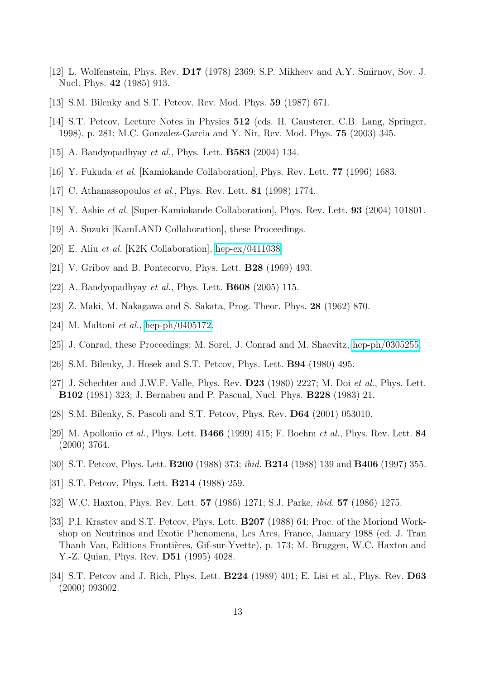- <span id="page-12-1"></span><span id="page-12-0"></span>[12] L. Wolfenstein, Phys. Rev. D17 (1978) 2369; S.P. Mikheev and A.Y. Smirnov, Sov. J. Nucl. Phys. 42 (1985) 913.
- <span id="page-12-2"></span>[13] S.M. Bilenky and S.T. Petcov, Rev. Mod. Phys. 59 (1987) 671.
- <span id="page-12-3"></span>[14] S.T. Petcov, Lecture Notes in Physics 512 (eds. H. Gausterer, C.B. Lang, Springer, 1998), p. 281; M.C. Gonzalez-Garcia and Y. Nir, Rev. Mod. Phys. 75 (2003) 345.
- <span id="page-12-4"></span>[15] A. Bandyopadhyay *et al.*, Phys. Lett. **B583** (2004) 134.
- <span id="page-12-5"></span>[16] Y. Fukuda et al. [Kamiokande Collaboration], Phys. Rev. Lett. 77 (1996) 1683.
- <span id="page-12-6"></span>[17] C. Athanassopoulos *et al.*, Phys. Rev. Lett. **81** (1998) 1774.
- <span id="page-12-7"></span>[18] Y. Ashie et al. [Super-Kamiokande Collaboration], Phys. Rev. Lett. 93 (2004) 101801.
- <span id="page-12-8"></span>[19] A. Suzuki [KamLAND Collaboration], these Proceedings.
- <span id="page-12-9"></span>[20] E. Aliu et al. [K2K Collaboration], [hep-ex/0411038.](http://it.arXiv.org/abs/hep-ex/0411038)
- <span id="page-12-10"></span>[21] V. Gribov and B. Pontecorvo, Phys. Lett. B28 (1969) 493.
- <span id="page-12-11"></span>[22] A. Bandyopadhyay *et al.*, Phys. Lett. **B608** (2005) 115.
- <span id="page-12-16"></span>[23] Z. Maki, M. Nakagawa and S. Sakata, Prog. Theor. Phys. 28 (1962) 870.
- <span id="page-12-17"></span>[24] M. Maltoni *et al.*, [hep-ph/0405172.](http://it.arXiv.org/abs/hep-ph/0405172)
- <span id="page-12-12"></span>[25] J. Conrad, these Proceedings; M. Sorel, J. Conrad and M. Shaevitz, [hep-ph/0305255.](http://it.arXiv.org/abs/hep-ph/0305255)
- <span id="page-12-13"></span>[26] S.M. Bilenky, J. Hosek and S.T. Petcov, Phys. Lett. B94 (1980) 495.
- [27] J. Schechter and J.W.F. Valle, Phys. Rev. **D23** (1980) 2227; M. Doi et al., Phys. Lett. B102 (1981) 323; J. Bernabeu and P. Pascual, Nucl. Phys. B228 (1983) 21.
- <span id="page-12-15"></span><span id="page-12-14"></span>[28] S.M. Bilenky, S. Pascoli and S.T. Petcov, Phys. Rev. D64 (2001) 053010.
- [29] M. Apollonio et al., Phys. Lett.  $\mathbf{B466}$  (1999) 415; F. Boehm et al., Phys. Rev. Lett. 84 (2000) 3764.
- <span id="page-12-19"></span><span id="page-12-18"></span>[30] S.T. Petcov, Phys. Lett. **B200** (1988) 373; *ibid.* **B214** (1988) 139 and **B406** (1997) 355.
- <span id="page-12-20"></span>[31] S.T. Petcov, Phys. Lett. **B214** (1988) 259.
- <span id="page-12-21"></span>[32] W.C. Haxton, Phys. Rev. Lett. 57 (1986) 1271; S.J. Parke, ibid. 57 (1986) 1275.
- [33] P.I. Krastev and S.T. Petcov, Phys. Lett. **B207** (1988) 64; Proc. of the Moriond Workshop on Neutrinos and Exotic Phenomena, Les Arcs, France, January 1988 (ed. J. Tran Thanh Van, Editions Frontières, Gif-sur-Yvette), p. 173; M. Bruggen, W.C. Haxton and Y.-Z. Quian, Phys. Rev. D51 (1995) 4028.
- <span id="page-12-22"></span>[34] S.T. Petcov and J. Rich, Phys. Lett. B224 (1989) 401; E. Lisi et al., Phys. Rev. D63 (2000) 093002.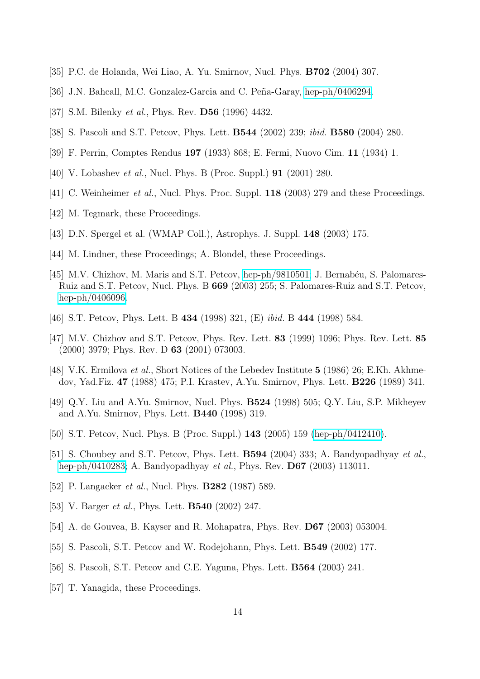- <span id="page-13-1"></span><span id="page-13-0"></span>[35] P.C. de Holanda, Wei Liao, A. Yu. Smirnov, Nucl. Phys. B702 (2004) 307.
- <span id="page-13-7"></span>[36] J.N. Bahcall, M.C. Gonzalez-Garcia and C. Peña-Garay, [hep-ph/0406294.](http://it.arXiv.org/abs/hep-ph/0406294)
- <span id="page-13-8"></span>[37] S.M. Bilenky *et al.*, Phys. Rev. **D56** (1996) 4432.
- <span id="page-13-2"></span>[38] S. Pascoli and S.T. Petcov, Phys. Lett. B544 (2002) 239; ibid. B580 (2004) 280.
- <span id="page-13-3"></span>[39] F. Perrin, Comptes Rendus 197 (1933) 868; E. Fermi, Nuovo Cim. 11 (1934) 1.
- <span id="page-13-4"></span>[40] V. Lobashev *et al.*, Nucl. Phys. B (Proc. Suppl.) **91** (2001) 280.
- <span id="page-13-5"></span>[41] C. Weinheimer et al., Nucl. Phys. Proc. Suppl. 118 (2003) 279 and these Proceedings.
- <span id="page-13-6"></span>[42] M. Tegmark, these Proceedings.
- <span id="page-13-9"></span>[43] D.N. Spergel et al. (WMAP Coll.), Astrophys. J. Suppl. **148** (2003) 175.
- <span id="page-13-10"></span>[44] M. Lindner, these Proceedings; A. Blondel, these Proceedings.
- [45] M.V. Chizhov, M. Maris and S.T. Petcov, [hep-ph/9810501;](http://it.arXiv.org/abs/hep-ph/9810501) J. Bernabéu, S. Palomares-Ruiz and S.T. Petcov, Nucl. Phys. B 669 (2003) 255; S. Palomares-Ruiz and S.T. Petcov, [hep-ph/0406096.](http://it.arXiv.org/abs/hep-ph/0406096)
- <span id="page-13-12"></span><span id="page-13-11"></span>[46] S.T. Petcov, Phys. Lett. B 434 (1998) 321, (E) ibid. B 444 (1998) 584.
- <span id="page-13-15"></span>[47] M.V. Chizhov and S.T. Petcov, Phys. Rev. Lett. 83 (1999) 1096; Phys. Rev. Lett. 85 (2000) 3979; Phys. Rev. D 63 (2001) 073003.
- [48] V.K. Ermilova et al., Short Notices of the Lebedev Institute 5 (1986) 26; E.Kh. Akhmedov, Yad.Fiz. 47 (1988) 475; P.I. Krastev, A.Yu. Smirnov, Phys. Lett. B226 (1989) 341.
- <span id="page-13-16"></span><span id="page-13-13"></span>[49] Q.Y. Liu and A.Yu. Smirnov, Nucl. Phys. B524 (1998) 505; Q.Y. Liu, S.P. Mikheyev and A.Yu. Smirnov, Phys. Lett. B440 (1998) 319.
- <span id="page-13-17"></span>[50] S.T. Petcov, Nucl. Phys. B (Proc. Suppl.) 143 (2005) 159 [\(hep-ph/0412410\)](http://it.arXiv.org/abs/hep-ph/0412410).
- [51] S. Choubey and S.T. Petcov, Phys. Lett. B594 (2004) 333; A. Bandyopadhyay et al., [hep-ph/0410283;](http://it.arXiv.org/abs/hep-ph/0410283) A. Bandyopadhyay et al., Phys. Rev. D67 (2003) 113011.
- <span id="page-13-19"></span><span id="page-13-18"></span>[52] P. Langacker *et al.*, Nucl. Phys. **B282** (1987) 589.
- <span id="page-13-20"></span>[53] V. Barger *et al.*, Phys. Lett. **B540** (2002) 247.
- <span id="page-13-21"></span>[54] A. de Gouvea, B. Kayser and R. Mohapatra, Phys. Rev. D67 (2003) 053004.
- <span id="page-13-22"></span>[55] S. Pascoli, S.T. Petcov and W. Rodejohann, Phys. Lett. B549 (2002) 177.
- <span id="page-13-14"></span>[56] S. Pascoli, S.T. Petcov and C.E. Yaguna, Phys. Lett. B564 (2003) 241.
- [57] T. Yanagida, these Proceedings.